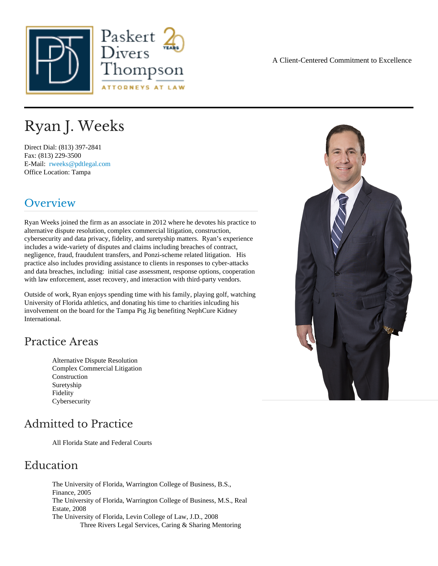# Ryan J. Weeks

Direct Dial: (813) 397-2841 Fax: (813) 229-3500 E-Mail: [rweeks@pdtlegal.co](mailto:rweeks@pdtlegal.com )m Office Location: Tampa

# Overview

Ryan Weeks joined the firm as an associate in 2012 where he devotes his practice to alternative dispute resolution, complex commercial litigation, construction, cybersecurity and data privacy, fidelity, and suretyship matters. Ryan's experience includes a wide-variety of disputes and claims including breaches of contract, negligence, fraud, fraudulent transfers, and Ponzi-scheme related litigation. His practice also includes providing assistance to clients in responses to cyber-attacks and data breaches, including: initial case assessment, response options, cooperation with law enforcement, asset recovery, and interaction with third-party vendors.

Outside of work, Ryan enjoys spending time with his family, playing golf, watching University of Florida athletics, and donating his time to charities inlcuding his involvement on the board for the Tampa Pig Jig benefiting NephCure Kidney International.

### Practice Areas

Alternative Dispute Resolution Complex Commercial Litigation **Construction Suretyship** Fidelity **Cybersecurity** 

# Admitted to Practice

All Florida State and Federal Courts

### Education

The University of Florida, Warrington College of Business, B.S., Finance, 2005 The University of Florida, Warrington College of Business, M.S., Real Estate, 2008 The University of Florida, Levin College of Law, J.D., 2008 Three Rivers Legal Services, Caring & Sharing Mentoring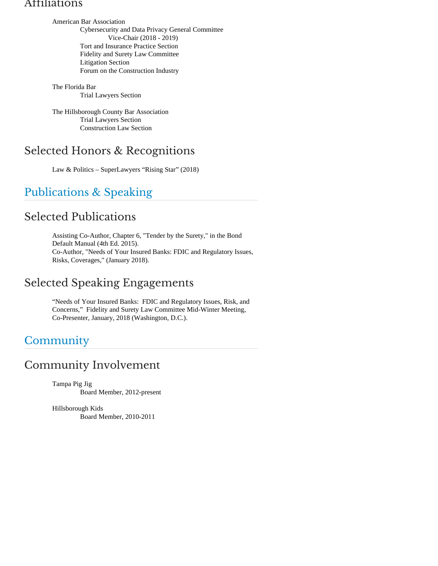#### Affiliations

American Bar Association Cybersecurity and Data Privacy General Committee Vice-Chair (2018 - 2019) Tort and Insurance Practice Section Fidelity and Surety Law Committee Litigation Section Forum on the Construction Industry

The Florida Bar Trial Lawyers Section

The Hillsborough County Bar Association Trial Lawyers Section Construction Law Section

# Selected Honors & Recognitions

Law & Politics – SuperLawyers "Rising Star" (2018)

# Publications & Speaking

# Selected Publications

Assisting Co-Author, Chapter 6, "Tender by the Surety," in the Bond Default Manual (4th Ed. 2015). Co-Author, "Needs of Your Insured Banks: FDIC and Regulatory Issues, Risks, Coverages," (January 2018).

# Selected Speaking Engagements

"Needs of Your Insured Banks: FDIC and Regulatory Issues, Risk, and Concerns," Fidelity and Surety Law Committee Mid-Winter Meeting, Co-Presenter, January, 2018 (Washington, D.C.).

# **Community**

## Community Involvement

Tampa Pig Jig Board Member, 2012-present

Hillsborough Kids Board Member, 2010-2011